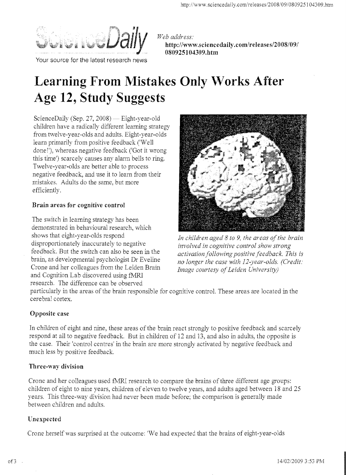

*Web address:*  **http://vvvrw.sciencedaily.com/releases/200S/09/ 080925104309.htm** 

Your source for the latest research news

# **Learning From Mistakes Only Works After Age 12, Study Suggests**

ScienceDaily *(Sep. 27, 2008)* — Eight-year-old children have a radically different learning strategy from twelve-year-olds and adults. Eight-year-olds learn primarily from positive feedback ('Well done!'), whereas negative feedback ('Got it wrong this time') scarcely causes any alarm bells to ring. Twelve-year-olds are better able to *process*  negative feedback, and use it to learn from their mistakes. Adults do the same, but more efficiently.

# **Brain areas for cognitive control**

The switch in learning strategy has been demonstrated in behavioural research, which shows that eight-year-olds respond disproportionately inaccurately to negative feedback. But the switch can also be seen in the brain, as developmental psychologist Dr Eveline Crone and her colleagues from the Leiden Brain and Cognition Lab discovered using fMRI research. The difference can be observed



In children aged 8 to 9, the areas of the brain *involved in cognitive control show strong activationfolio)'lIing positive feedback. This is no longer the case with 12-year-olds. (Credit: Image courtesy ofLeiden University)* 

particularly in the areas of the brain responsible for cognitive control. These areas are located in the cerebral cortex.

# **Opposite case**

In children of eight and nine, these areas of the brain react strongly to positive feedback and scarcely respond at all to negative feedback. But in children of 12 and 13, and also in adults, the opposite is the case. Their 'control centres' in the brain are more strongly activated by negative feedback and much less by positive feedback.

# **Three-way division**

Crone and her colleagues used fMRI research to compare the brains of three different age groups: children of eight to nine years, children of eleven to twelve years, and adults aged between 18 and 25 years. This three-way division had never been made before; the comparison is generally made between children and adults.

# **Unexpected**

Crone herself was surprised at the outcome: 'We had expected that the brains of eight-year-olds